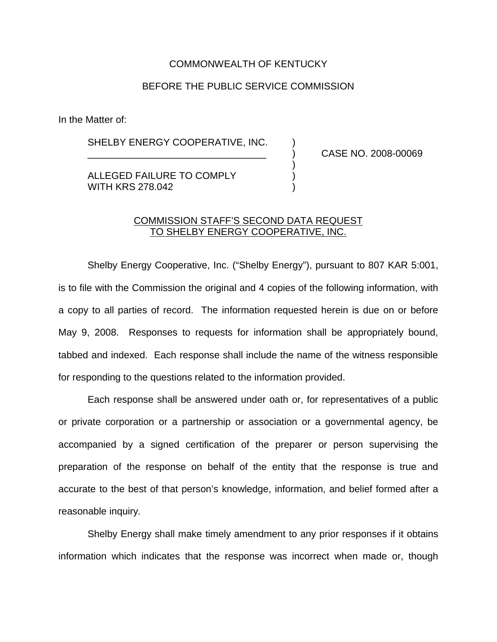## COMMONWEALTH OF KENTUCKY

## BEFORE THE PUBLIC SERVICE COMMISSION

In the Matter of:

SHELBY ENERGY COOPERATIVE, INC.

\_\_\_\_\_\_\_\_\_\_\_\_\_\_\_\_\_\_\_\_\_\_\_\_\_\_\_\_\_\_\_\_\_ ) CASE NO. 2008-00069

ALLEGED FAILURE TO COMPLY WITH KRS 278,042

## COMMISSION STAFF'S SECOND DATA REQUEST TO SHELBY ENERGY COOPERATIVE, INC.

)

Shelby Energy Cooperative, Inc. ("Shelby Energy"), pursuant to 807 KAR 5:001, is to file with the Commission the original and 4 copies of the following information, with a copy to all parties of record. The information requested herein is due on or before May 9, 2008. Responses to requests for information shall be appropriately bound, tabbed and indexed. Each response shall include the name of the witness responsible for responding to the questions related to the information provided.

Each response shall be answered under oath or, for representatives of a public or private corporation or a partnership or association or a governmental agency, be accompanied by a signed certification of the preparer or person supervising the preparation of the response on behalf of the entity that the response is true and accurate to the best of that person's knowledge, information, and belief formed after a reasonable inquiry.

Shelby Energy shall make timely amendment to any prior responses if it obtains information which indicates that the response was incorrect when made or, though